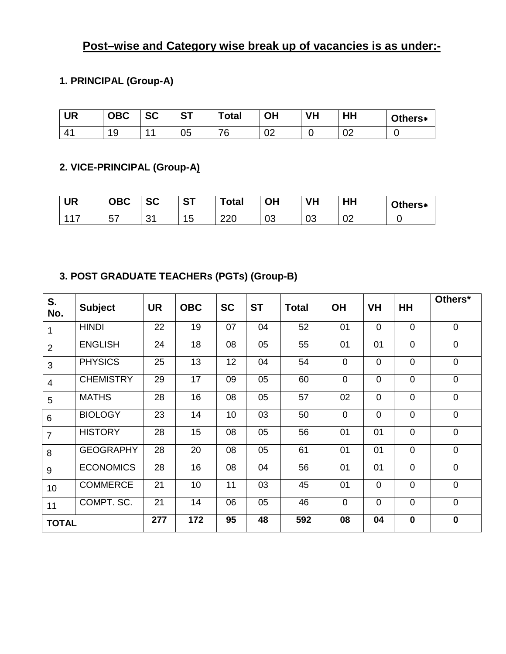# **Post–wise and Category wise break up of vacancies is as under:-**

## **1. PRINCIPAL (Group-A)**

| <b>UR</b> | <b>OBC</b> | <b>SC</b> | <b>CT</b><br>. J I | <b>Total</b> | OH | VH | HH       | Others* |
|-----------|------------|-----------|--------------------|--------------|----|----|----------|---------|
|           | 1 Q<br>Ñ   | 44        | 05                 | 76           | ∪∠ |    | ∩∩<br>◡▵ |         |

#### **2. VICE-PRINCIPAL (Group-A)**

| <b>UR</b> | <b>OBC</b>     | nn.<br>5U    | <b>ST</b> | <b>Total</b> | ΟH | <b>VH</b> | HН       | Others* |
|-----------|----------------|--------------|-----------|--------------|----|-----------|----------|---------|
| 117       | --<br>∽<br>ັບເ | - 24<br>ັບ ເ | 15        | 220          | 03 | 03        | ∩∩<br>◡∠ |         |

#### **3. POST GRADUATE TEACHERs (PGTs) (Group-B)**

| S.<br>No.      | <b>Subject</b>   | <b>UR</b> | <b>OBC</b> | <b>SC</b> | <b>ST</b> | <b>Total</b> | <b>OH</b>      | <b>VH</b>      | HH             | Others*     |
|----------------|------------------|-----------|------------|-----------|-----------|--------------|----------------|----------------|----------------|-------------|
| $\mathbf{1}$   | <b>HINDI</b>     | 22        | 19         | 07        | 04        | 52           | 01             | $\overline{0}$ | $\overline{0}$ | $\mathbf 0$ |
| $\overline{2}$ | <b>ENGLISH</b>   | 24        | 18         | 08        | 05        | 55           | 01             | 01             | $\overline{0}$ | $\mathbf 0$ |
| 3              | <b>PHYSICS</b>   | 25        | 13         | 12        | 04        | 54           | $\mathbf 0$    | 0              | $\mathbf 0$    | $\mathbf 0$ |
| $\overline{4}$ | <b>CHEMISTRY</b> | 29        | 17         | 09        | 05        | 60           | $\overline{0}$ | $\mathbf 0$    | $\overline{0}$ | $\mathbf 0$ |
| 5              | <b>MATHS</b>     | 28        | 16         | 08        | 05        | 57           | 02             | 0              | $\overline{0}$ | $\mathbf 0$ |
| 6              | <b>BIOLOGY</b>   | 23        | 14         | 10        | 03        | 50           | $\overline{0}$ | 0              | $\overline{0}$ | $\mathbf 0$ |
| $\overline{7}$ | <b>HISTORY</b>   | 28        | 15         | 08        | 05        | 56           | 01             | 01             | $\overline{0}$ | $\pmb{0}$   |
| 8              | <b>GEOGRAPHY</b> | 28        | 20         | 08        | 05        | 61           | 01             | 01             | $\overline{0}$ | $\mathbf 0$ |
| 9              | <b>ECONOMICS</b> | 28        | 16         | 08        | 04        | 56           | 01             | 01             | $\overline{0}$ | $\mathbf 0$ |
| 10             | <b>COMMERCE</b>  | 21        | 10         | 11        | 03        | 45           | 01             | 0              | $\overline{0}$ | $\mathbf 0$ |
| 11             | COMPT. SC.       | 21        | 14         | 06        | 05        | 46           | $\overline{0}$ | $\overline{0}$ | $\overline{0}$ | $\mathbf 0$ |
| <b>TOTAL</b>   |                  | 277       | 172        | 95        | 48        | 592          | 08             | 04             | $\mathbf 0$    | $\mathbf 0$ |